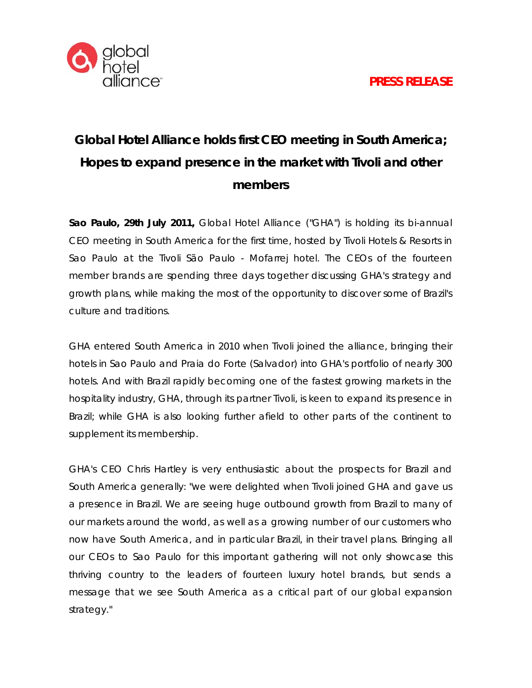

## **Global Hotel Alliance holds first CEO meeting in South America; Hopes to expand presence in the market with Tivoli and other members**

**Sao Paulo, 29th July 2011,** Global Hotel Alliance ("GHA") is holding its bi-annual CEO meeting in South America for the first time, hosted by Tivoli Hotels & Resorts in Sao Paulo at the Tivoli São Paulo - Mofarrej hotel. The CEOs of the fourteen member brands are spending three days together discussing GHA's strategy and growth plans, while making the most of the opportunity to discover some of Brazil's culture and traditions.

GHA entered South America in 2010 when Tivoli joined the alliance, bringing their hotels in Sao Paulo and Praia do Forte (Salvador) into GHA's portfolio of nearly 300 hotels. And with Brazil rapidly becoming one of the fastest growing markets in the hospitality industry, GHA, through its partner Tivoli, is keen to expand its presence in Brazil; while GHA is also looking further afield to other parts of the continent to supplement its membership.

GHA's CEO Chris Hartley is very enthusiastic about the prospects for Brazil and South America generally: "we were delighted when Tivoli joined GHA and gave us a presence in Brazil. We are seeing huge outbound growth from Brazil to many of our markets around the world, as well as a growing number of our customers who now have South America, and in particular Brazil, in their travel plans. Bringing all our CEOs to Sao Paulo for this important gathering will not only showcase this thriving country to the leaders of fourteen luxury hotel brands, but sends a message that we see South America as a critical part of our global expansion strategy."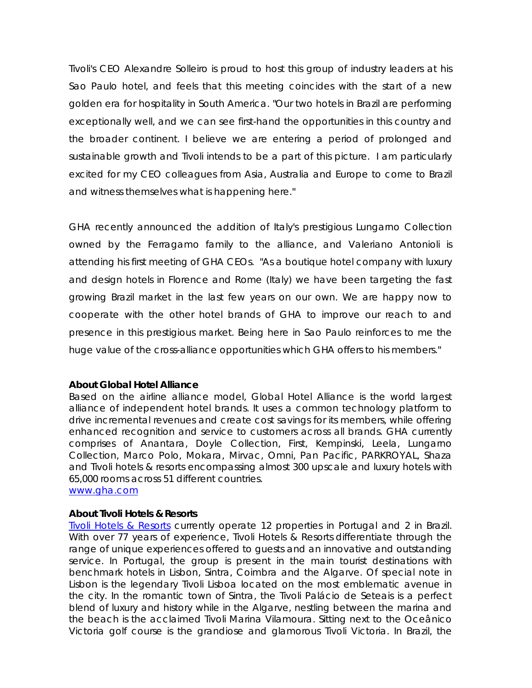Tivoli's CEO Alexandre Solleiro is proud to host this group of industry leaders at his Sao Paulo hotel, and feels that this meeting coincides with the start of a new golden era for hospitality in South America. "Our two hotels in Brazil are performing exceptionally well, and we can see first-hand the opportunities in this country and the broader continent. I believe we are entering a period of prolonged and sustainable growth and Tivoli intends to be a part of this picture. I am particularly excited for my CEO colleagues from Asia, Australia and Europe to come to Brazil and witness themselves what is happening here."

GHA recently announced the addition of Italy's prestigious Lungarno Collection owned by the Ferragamo family to the alliance, and Valeriano Antonioli is attending his first meeting of GHA CEOs. "As a boutique hotel company with luxury and design hotels in Florence and Rome (Italy) we have been targeting the fast growing Brazil market in the last few years on our own. We are happy now to cooperate with the other hotel brands of GHA to improve our reach to and presence in this prestigious market. Being here in Sao Paulo reinforces to me the huge value of the cross-alliance opportunities which GHA offers to his members."

## **About Global Hotel Alliance**

Based on the airline alliance model, Global Hotel Alliance is the world largest alliance of independent hotel brands. It uses a common technology platform to drive incremental revenues and create cost savings for its members, while offering enhanced recognition and service to customers across all brands. GHA currently comprises of Anantara, Doyle Collection, First, Kempinski, Leela, Lungarno Collection, Marco Polo, Mokara, Mirvac, Omni, Pan Pacific, PARKROYAL, Shaza and Tivoli hotels & resorts encompassing almost 300 upscale and luxury hotels with 65,000 rooms across 51 different countries. [www.gha.com](http://www.gha.com/)

## **About Tivoli Hotels & Resorts**

[Tivoli Hotels & Resorts](http://www.tivolihotels.com/Default.aspx?&ID=21) currently operate 12 properties in Portugal and 2 in Brazil. With over 77 years of experience, Tivoli Hotels & Resorts differentiate through the range of unique experiences offered to guests and an innovative and outstanding service. In Portugal, the group is present in the main tourist destinations with benchmark hotels in Lisbon, Sintra, Coimbra and the Algarve. Of special note in Lisbon is the legendary Tivoli Lisboa located on the most emblematic avenue in the city. In the romantic town of Sintra, the Tivoli Palácio de Seteais is a perfect blend of luxury and history while in the Algarve, nestling between the marina and the beach is the acclaimed Tivoli Marina Vilamoura. Sitting next to the Oceânico Victoria golf course is the grandiose and glamorous Tivoli Victoria. In Brazil, the